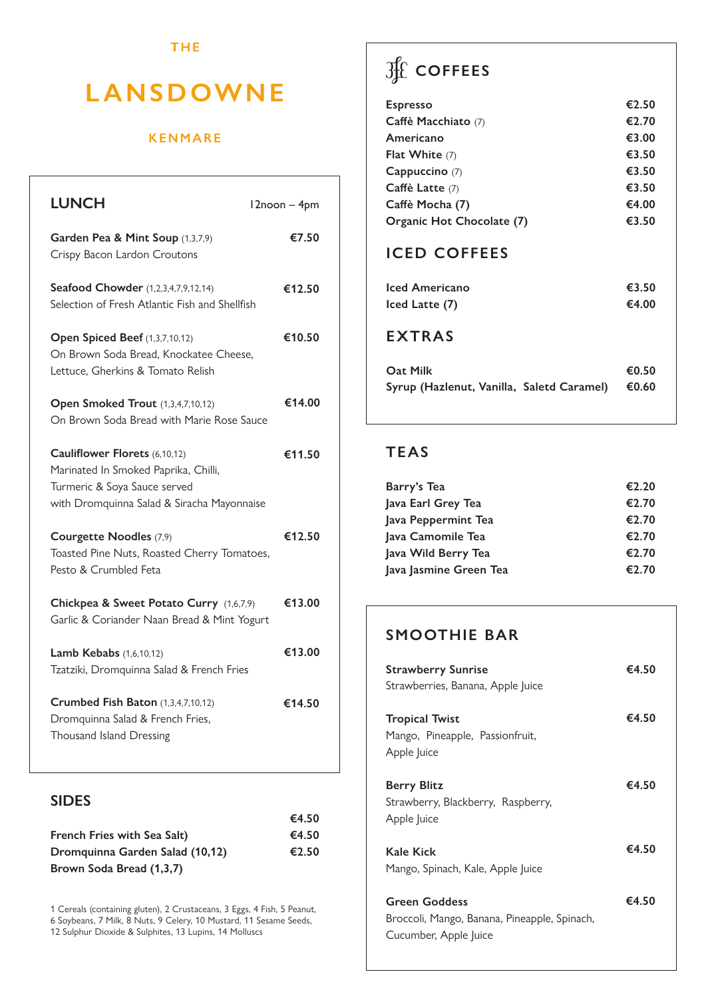#### **THE**

# **LANSDOWNE**

#### **KENMARE**

| <b>LUNCH</b>                                                                                                                                        | 12noon - 4pm |
|-----------------------------------------------------------------------------------------------------------------------------------------------------|--------------|
| Garden Pea & Mint Soup (1,3,7,9)<br>Crispy Bacon Lardon Croutons                                                                                    | €7.50        |
| Seafood Chowder (1,2,3,4,7,9,12,14)<br>Selection of Fresh Atlantic Fish and Shellfish                                                               | €12.50       |
| Open Spiced Beef (1,3,7,10,12)<br>On Brown Soda Bread, Knockatee Cheese,<br>Lettuce, Gherkins & Tomato Relish                                       | €10.50       |
| Open Smoked Trout (1,3,4,7,10,12)<br>On Brown Soda Bread with Marie Rose Sauce                                                                      | €14.00       |
| Cauliflower Florets (6,10,12)<br>Marinated In Smoked Paprika, Chilli,<br>Turmeric & Soya Sauce served<br>with Dromquinna Salad & Siracha Mayonnaise | €11.50       |
| Courgette Noodles (7,9)<br>Toasted Pine Nuts, Roasted Cherry Tomatoes,<br>Pesto & Crumbled Feta                                                     | €12.50       |
| Chickpea & Sweet Potato Curry (1,6,7,9)<br>Garlic & Coriander Naan Bread & Mint Yogurt                                                              | €13.00       |
| <b>Lamb Kebabs</b> (1,6,10,12)<br>Tzatziki, Dromquinna Salad & French Fries                                                                         | €13.00       |
| <b>Crumbed Fish Baton</b> (1,3,4,7,10,12)<br>Dromquinna Salad & French Fries,<br>Thousand Island Dressing                                           | €14.50       |

### **SIDES**

|                                 | €4.50 |
|---------------------------------|-------|
| French Fries with Sea Salt)     | €4.50 |
| Dromguinna Garden Salad (10,12) | €2.50 |
| Brown Soda Bread (1,3,7)        |       |

1 Cereals (containing gluten), 2 Crustaceans, 3 Eggs, 4 Fish, 5 Peanut,

6 Soybeans, 7 Milk, 8 Nuts, 9 Celery, 10 Mustard, 11 Sesame Seeds, 12 Sulphur Dioxide & Sulphites, 13 Lupins, 14 Molluscs

# **COFFEES**

| <b>Espresso</b>           | €2.50 |
|---------------------------|-------|
| Caffè Macchiato (7)       | €2.70 |
| Americano                 | €3.00 |
| Flat White $(7)$          | €3.50 |
| Cappuccino (7)            | €3.50 |
| Caffè Latte (7)           | €3.50 |
| Caffè Mocha (7)           | €4.00 |
| Organic Hot Chocolate (7) | €3.50 |

### **ICED COFFEES**

| Iced Americano                            | €3.50 |
|-------------------------------------------|-------|
| Iced Latte (7)                            | €4.00 |
| <b>EXTRAS</b>                             |       |
| Oat Milk                                  | €0.50 |
| Syrup (Hazlenut, Vanilla, Saletd Caramel) | €0.60 |

## **TEAS**

| Barry's Tea            | €2.20 |
|------------------------|-------|
| Java Earl Grey Tea     | €2.70 |
| Java Peppermint Tea    | €2.70 |
| Java Camomile Tea      | €2.70 |
| Java Wild Berry Tea    | €2.70 |
| Java Jasmine Green Tea | €2.70 |

## **SMOOTHIE BAR**

| <b>Strawberry Sunrise</b><br>Strawberries, Banana, Apple Juice                                | €4.50 |
|-----------------------------------------------------------------------------------------------|-------|
| <b>Tropical Twist</b><br>Mango, Pineapple, Passionfruit,<br>Apple Juice                       | €4.50 |
| <b>Berry Blitz</b><br>Strawberry, Blackberry, Raspberry,<br>Apple Juice                       | €4.50 |
| Kale Kick<br>Mango, Spinach, Kale, Apple Juice                                                | €4.50 |
| <b>Green Goddess</b><br>Broccoli, Mango, Banana, Pineapple, Spinach,<br>Cucumber, Apple Juice | €4.50 |